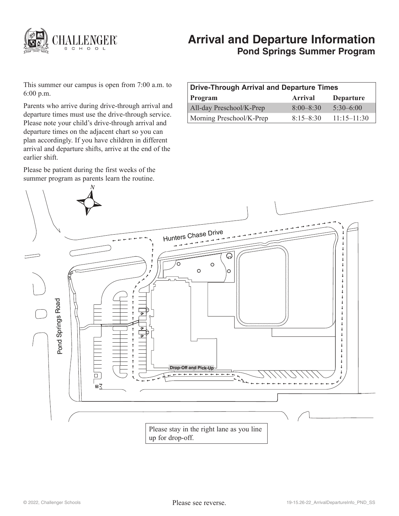

# **Arrival and Departure Information Pond Springs Summer Program**

This summer our campus is open from 7:00 a.m. to 6:00 p.m.

Parents who arrive during drive-through arrival and departure times must use the drive-through service. Please note your child's drive-through arrival and departure times on the adjacent chart so you can plan accordingly. If you have children in different arrival and departure shifts, arrive at the end of the earlier shift.

Please be patient during the first weeks of the summer program as parents learn the routine.

| Drive-Through Arrival and Departure Times |               |                  |
|-------------------------------------------|---------------|------------------|
| Program                                   | Arrival       | <b>Departure</b> |
| All-day Preschool/K-Prep                  | $8:00 - 8:30$ | $5:30-6:00$      |
| Morning Preschool/K-Prep                  | $8.15 - 8.30$ | $11.15 - 11.30$  |